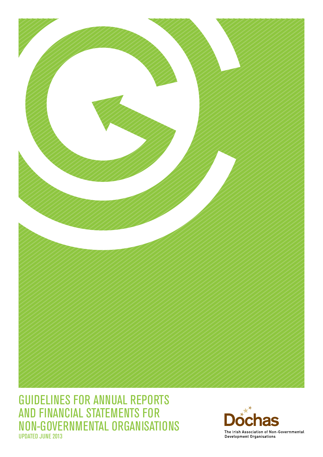

Guidelines for Annual Reports and Financial Statements for Non-Governmental Organisations Updated June 2013

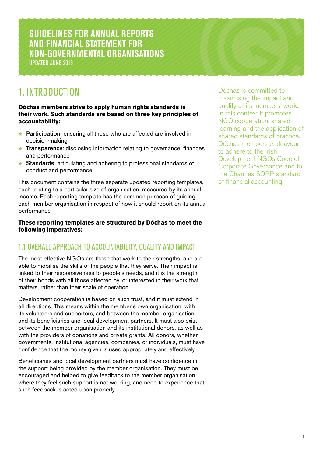### **Guidelines for Annual Reports and Financial Statement FOR Non-Governmental Organisations**

UPDATED JUNE 2013

## 1. INTRODUCTION

**Dóchas members strive to apply human rights standards in their work. Such standards are based on three key principles of accountability:**

- $\star$  Participation: ensuring all those who are affected are involved in decision-making
- $\star$  Transparency: disclosing information relating to governance, finances and performance
- $\star$  Standards: articulating and adhering to professional standards of conduct and performance

This document contains the three separate updated reporting templates, each relating to a particular size of organisation, measured by its annual income. Each reporting template has the common purpose of guiding each member organisation in respect of how it should report on its annual performance

#### **These reporting templates are structured by Dóchas to meet the following imperatives:**

#### 1.1 Overall Approach to Accountability, Quality and Impact

The most effective NGOs are those that work to their strengths, and are able to mobilise the skills of the people that they serve. Their impact is linked to their responsiveness to people's needs, and it is the strength of their bonds with all those affected by, or interested in their work that matters, rather than their scale of operation.

Development cooperation is based on such trust, and it must extend in all directions. This means within the member's own organisation, with its volunteers and supporters, and between the member organisation and its beneficiaries and local development partners. It must also exist between the member organisation and its institutional donors, as well as with the providers of donations and private grants. All donors, whether governments, institutional agencies, companies, or individuals, must have confidence that the money given is used appropriately and effectively.

Beneficiaries and local development partners must have confidence in the support being provided by the member organisation. They must be encouraged and helped to give feedback to the member organisation where they feel such support is not working, and need to experience that such feedback is acted upon properly.

Dóchas is committed to maximising the impact and quality of its members' work. In this context it promotes NGO cooperation, shared learning and the application of shared standards of practice. Dóchas members endeavour to adhere to the Irish Development NGOs Code of Corporate Governance and to the Charities SORP standard of financial accounting.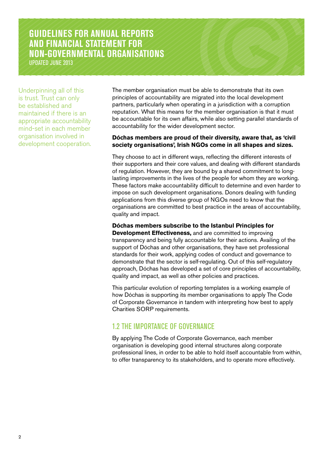## **Guidelines for Annual Reports and Financial Statement FOR Non-Governmental Organisations**

UPDATED JUNE 2013

Underpinning all of this is trust. Trust can only be established and maintained if there is an appropriate accountability mind-set in each member organisation involved in development cooperation.

The member organisation must be able to demonstrate that its own principles of accountability are migrated into the local development partners, particularly when operating in a jurisdiction with a corruption reputation. What this means for the member organisation is that it must be accountable for its own affairs, while also setting parallel standards of accountability for the wider development sector.

#### **Dóchas members are proud of their diversity, aware that, as 'civil society organisations', Irish NGOs come in all shapes and sizes.**

They choose to act in different ways, reflecting the different interests of their supporters and their core values, and dealing with different standards of regulation. However, they are bound by a shared commitment to longlasting improvements in the lives of the people for whom they are working. These factors make accountability difficult to determine and even harder to impose on such development organisations. Donors dealing with funding applications from this diverse group of NGOs need to know that the organisations are committed to best practice in the areas of accountability, quality and impact.

**Dóchas members subscribe to the Istanbul Principles for Development Effectiveness,** and are committed to improving transparency and being fully accountable for their actions. Availing of the support of Dóchas and other organisations, they have set professional standards for their work, applying codes of conduct and governance to demonstrate that the sector is self-regulating. Out of this self-regulatory approach, Dóchas has developed a set of core principles of accountability,

This particular evolution of reporting templates is a working example of how Dóchas is supporting its member organisations to apply The Code of Corporate Governance in tandem with interpreting how best to apply Charities SORP requirements.

quality and impact, as well as other policies and practices.

#### 1.2 The Importance of Governance

By applying The Code of Corporate Governance, each member organisation is developing good internal structures along corporate professional lines, in order to be able to hold itself accountable from within, to offer transparency to its stakeholders, and to operate more effectively.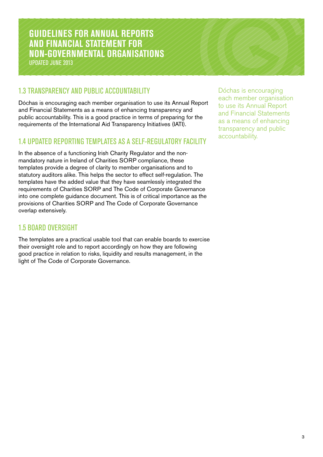## **Guidelines for Annual Reports and Financial Statement FOR Non-Governmental Organisations**

UPDATED JUNE 2013

#### 1.3 Transparency and Public Accountability

Dóchas is encouraging each member organisation to use its Annual Report and Financial Statements as a means of enhancing transparency and public accountability. This is a good practice in terms of preparing for the requirements of the International Aid Transparency Initiatives (IATI).

#### 1.4 Updated Reporting Templates as a Self-Regulatory Facility

In the absence of a functioning Irish Charity Regulator and the nonmandatory nature in Ireland of Charities SORP compliance, these templates provide a degree of clarity to member organisations and to statutory auditors alike. This helps the sector to effect self-regulation. The templates have the added value that they have seamlessly integrated the requirements of Charities SORP and The Code of Corporate Governance into one complete guidance document. This is of critical importance as the provisions of Charities SORP and The Code of Corporate Governance overlap extensively.

#### 1.5 Board Oversight

The templates are a practical usable tool that can enable boards to exercise their oversight role and to report accordingly on how they are following good practice in relation to risks, liquidity and results management, in the light of The Code of Corporate Governance.

Dóchas is encouraging each member organisation to use its Annual Report and Financial Statements as a means of enhancing transparency and public accountability.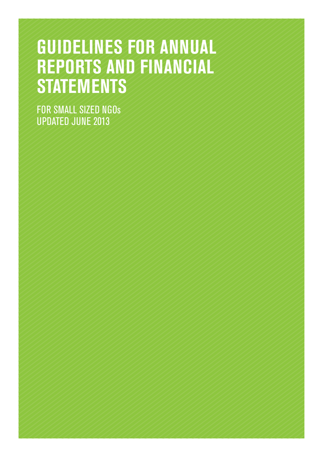# **Guidelines for Annual Reports and Financial Statements**

For Small sized NGOs Updated June 2013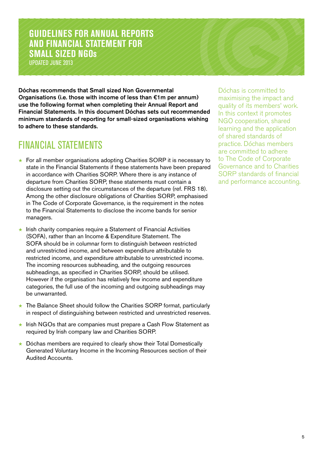UPDATED JUNE 2013

Dóchas recommends that Small sized Non Governmental Organisations (i.e. those with income of less than **€**1m per annum) use the following format when completing their Annual Report and Financial Statements. In this document Dóchas sets out recommended minimum standards of reporting for small-sized organisations wishing to adhere to these standards.

## Financial Statements

- ★ For all member organisations adopting Charities SORP it is necessary to state in the Financial Statements if these statements have been prepared in accordance with Charities SORP. Where there is any instance of departure from Charities SORP, these statements must contain a disclosure setting out the circumstances of the departure (ref. FRS 18). Among the other disclosure obligations of Charities SORP, emphasised in The Code of Corporate Governance, is the requirement in the notes to the Financial Statements to disclose the income bands for senior managers.
- ★ Irish charity companies require a Statement of Financial Activities (SOFA), rather than an Income & Expenditure Statement. The SOFA should be in columnar form to distinguish between restricted and unrestricted income, and between expenditure attributable to restricted income, and expenditure attributable to unrestricted income. The incoming resources subheading, and the outgoing resources subheadings, as specified in Charities SORP, should be utilised. However if the organisation has relatively few income and expenditure categories, the full use of the incoming and outgoing subheadings may be unwarranted.
- ★ The Balance Sheet should follow the Charities SORP format, particularly in respect of distinguishing between restricted and unrestricted reserves.
- ★ Irish NGOs that are companies must prepare a Cash Flow Statement as required by Irish company law and Charities SORP.
- ★ Dóchas members are required to clearly show their Total Domestically Generated Voluntary Income in the Incoming Resources section of their Audited Accounts.

Dóchas is committed to maximising the impact and quality of its members' work. In this context it promotes NGO cooperation, shared learning and the application of shared standards of practice. Dóchas members are committed to adhere to The Code of Corporate Governance and to Charities SORP standards of financial and performance accounting.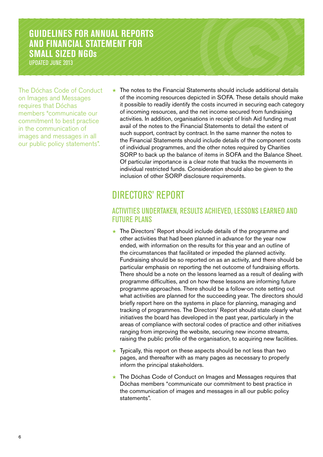UPDATED JUNE 2013

The Dóchas Code of Conduct on Images and Messages requires that Dóchas members "communicate our commitment to best practice in the communication of images and messages in all our public policy statements".

 $\star$  The notes to the Financial Statements should include additional details of the incoming resources depicted in SOFA. These details should make it possible to readily identify the costs incurred in securing each category of incoming resources, and the net income secured from fundraising activities. In addition, organisations in receipt of Irish Aid funding must avail of the notes to the Financial Statements to detail the extent of such support, contract by contract. In the same manner the notes to the Financial Statements should include details of the component costs of individual programmes, and the other notes required by Charities SORP to back up the balance of items in SOFA and the Balance Sheet. Of particular importance is a clear note that tracks the movements in individual restricted funds. Consideration should also be given to the inclusion of other SORP disclosure requirements.

## Directors' Report

#### Activities Undertaken, Results Achieved, Lessons Learned and Future Plans

- ★ The Directors' Report should include details of the programme and other activities that had been planned in advance for the year now ended, with information on the results for this year and an outline of the circumstances that facilitated or impeded the planned activity. Fundraising should be so reported on as an activity, and there should be particular emphasis on reporting the net outcome of fundraising efforts. There should be a note on the lessons learned as a result of dealing with programme difficulties, and on how these lessons are informing future programme approaches. There should be a follow-on note setting out what activities are planned for the succeeding year. The directors should briefly report here on the systems in place for planning, managing and tracking of programmes. The Directors' Report should state clearly what initiatives the board has developed in the past year, particularly in the areas of compliance with sectoral codes of practice and other initiatives ranging from improving the website, securing new income streams, raising the public profile of the organisation, to acquiring new facilities.
- $\star$  Typically, this report on these aspects should be not less than two pages, and thereafter with as many pages as necessary to properly inform the principal stakeholders.
- ★ The Dóchas Code of Conduct on Images and Messages requires that Dóchas members "communicate our commitment to best practice in the communication of images and messages in all our public policy statements".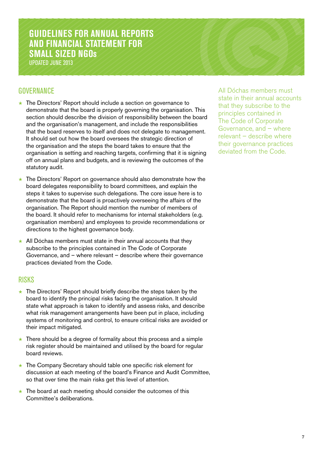UPDATED JUNE 2013

#### **GOVERNANCE**

- ★ The Directors' Report should include a section on governance to demonstrate that the board is properly governing the organisation. This section should describe the division of responsibility between the board and the organisation's management, and include the responsibilities that the board reserves to itself and does not delegate to management. It should set out how the board oversees the strategic direction of the organisation and the steps the board takes to ensure that the organisation is setting and reaching targets, confirming that it is signing off on annual plans and budgets, and is reviewing the outcomes of the statutory audit.
- ★ The Directors' Report on governance should also demonstrate how the board delegates responsibility to board committees, and explain the steps it takes to supervise such delegations. The core issue here is to demonstrate that the board is proactively overseeing the affairs of the organisation. The Report should mention the number of members of the board. It should refer to mechanisms for internal stakeholders (e.g. organisation members) and employees to provide recommendations or directions to the highest governance body.
- $\star$  All Dóchas members must state in their annual accounts that they subscribe to the principles contained in The Code of Corporate Governance, and – where relevant – describe where their governance practices deviated from the Code.

#### Risks

- ★ The Directors' Report should briefly describe the steps taken by the board to identify the principal risks facing the organisation. It should state what approach is taken to identify and assess risks, and describe what risk management arrangements have been put in place, including systems of monitoring and control, to ensure critical risks are avoided or their impact mitigated.
- ★ There should be a degree of formality about this process and a simple risk register should be maintained and utilised by the board for regular board reviews.
- ★ The Company Secretary should table one specific risk element for discussion at each meeting of the board's Finance and Audit Committee, so that over time the main risks get this level of attention.
- $\star$  The board at each meeting should consider the outcomes of this Committee's deliberations.

All Dóchas members must state in their annual accounts that they subscribe to the principles contained in The Code of Corporate Governance, and – where relevant – describe where their governance practices deviated from the Code.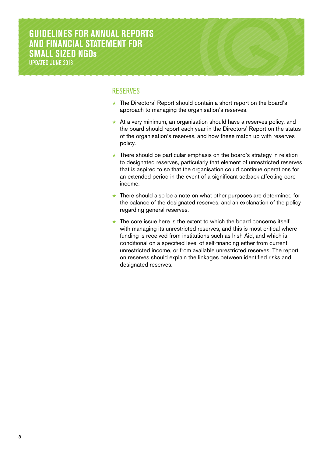UPDATED JUNE 2013

#### **RESERVES**

- ★ The Directors' Report should contain a short report on the board's approach to managing the organisation's reserves.
- ★ At a very minimum, an organisation should have a reserves policy, and the board should report each year in the Directors' Report on the status of the organisation's reserves, and how these match up with reserves policy.
- ★ There should be particular emphasis on the board's strategy in relation to designated reserves, particularly that element of unrestricted reserves that is aspired to so that the organisation could continue operations for an extended period in the event of a significant setback affecting core income.
- ★ There should also be a note on what other purposes are determined for the balance of the designated reserves, and an explanation of the policy regarding general reserves.
- ★ The core issue here is the extent to which the board concerns itself with managing its unrestricted reserves, and this is most critical where funding is received from institutions such as Irish Aid, and which is conditional on a specified level of self-financing either from current unrestricted income, or from available unrestricted reserves. The report on reserves should explain the linkages between identified risks and designated reserves.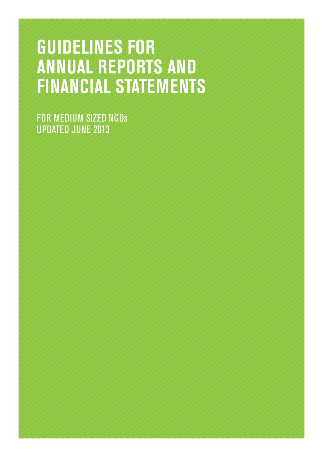# **Guidelines for Annual Reports and Financial Statements**

For Medium sized NGOs Updated June 2013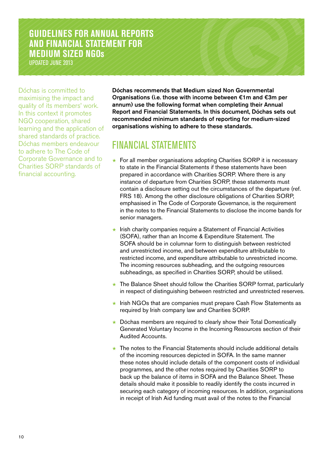UPDATED JUNE 2013

Dóchas is committed to maximising the impact and quality of its members' work. In this context it promotes NGO cooperation, shared learning and the application of shared standards of practice. Dóchas members endeavour to adhere to The Code of Corporate Governance and to Charities SORP standards of financial accounting.

Dóchas recommends that Medium sized Non Governmental Organisations (i.e. those with income between **€**1m and **€**3m per annum) use the following format when completing their Annual Report and Financial Statements. In this document, Dóchas sets out recommended minimum standards of reporting for medium-sized organisations wishing to adhere to these standards.

## Financial Statements

- ★ For all member organisations adopting Charities SORP it is necessary to state in the Financial Statements if these statements have been prepared in accordance with Charities SORP. Where there is any instance of departure from Charities SORP, these statements must contain a disclosure setting out the circumstances of the departure (ref. FRS 18). Among the other disclosure obligations of Charities SORP, emphasised in The Code of Corporate Governance, is the requirement in the notes to the Financial Statements to disclose the income bands for senior managers.
- ★ Irish charity companies require a Statement of Financial Activities (SOFA), rather than an Income & Expenditure Statement. The SOFA should be in columnar form to distinguish between restricted and unrestricted income, and between expenditure attributable to restricted income, and expenditure attributable to unrestricted income. The incoming resources subheading, and the outgoing resources subheadings, as specified in Charities SORP, should be utilised.
- ★ The Balance Sheet should follow the Charities SORP format, particularly in respect of distinguishing between restricted and unrestricted reserves.
- ★ Irish NGOs that are companies must prepare Cash Flow Statements as required by Irish company law and Charities SORP.
- ★ Dóchas members are required to clearly show their Total Domestically Generated Voluntary Income in the Incoming Resources section of their Audited Accounts.
- ★ The notes to the Financial Statements should include additional details of the incoming resources depicted in SOFA. In the same manner these notes should include details of the component costs of individual programmes, and the other notes required by Charities SORP to back up the balance of items in SOFA and the Balance Sheet. These details should make it possible to readily identify the costs incurred in securing each category of incoming resources. In addition, organisations in receipt of Irish Aid funding must avail of the notes to the Financial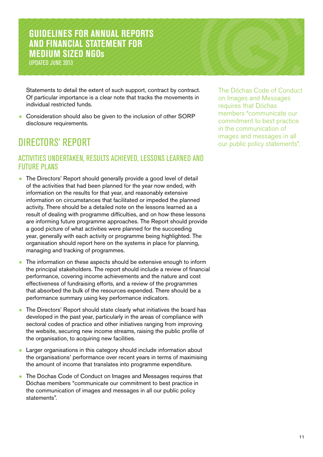UPDATED JUNE 2013

Statements to detail the extent of such support, contract by contract. Of particular importance is a clear note that tracks the movements in individual restricted funds.

Consideration should also be given to the inclusion of other SORP disclosure requirements.

## Directors' Report

#### Activities Undertaken, Results Achieved, Lessons Learned and Future Plans

- ★ The Directors' Report should generally provide a good level of detail of the activities that had been planned for the year now ended, with information on the results for that year, and reasonably extensive information on circumstances that facilitated or impeded the planned activity. There should be a detailed note on the lessons learned as a result of dealing with programme difficulties, and on how these lessons are informing future programme approaches. The Report should provide a good picture of what activities were planned for the succeeding year, generally with each activity or programme being highlighted. The organisation should report here on the systems in place for planning, managing and tracking of programmes.
- ★ The information on these aspects should be extensive enough to inform the principal stakeholders. The report should include a review of financial performance, covering income achievements and the nature and cost effectiveness of fundraising efforts, and a review of the programmes that absorbed the bulk of the resources expended. There should be a performance summary using key performance indicators.
- ★ The Directors' Report should state clearly what initiatives the board has developed in the past year, particularly in the areas of compliance with sectoral codes of practice and other initiatives ranging from improving the website, securing new income streams, raising the public profile of the organisation, to acquiring new facilities.
- ★ Larger organisations in this category should include information about the organisations' performance over recent years in terms of maximising the amount of income that translates into programme expenditure.
- ★ The Dóchas Code of Conduct on Images and Messages requires that Dóchas members "communicate our commitment to best practice in the communication of images and messages in all our public policy statements".

The Dóchas Code of Conduct on Images and Messages requires that Dóchas members "communicate our commitment to best practice in the communication of images and messages in all our public policy statements".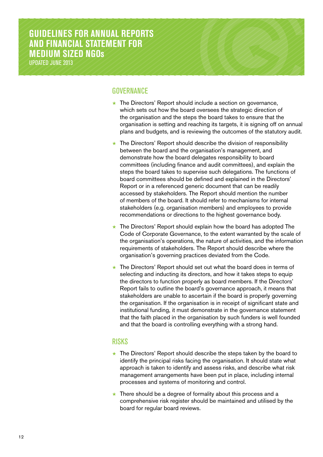UPDATED JUNE 2013

#### **GOVERNANCE**

- ★ The Directors' Report should include a section on governance, which sets out how the board oversees the strategic direction of the organisation and the steps the board takes to ensure that the organisation is setting and reaching its targets, it is signing off on annual plans and budgets, and is reviewing the outcomes of the statutory audit.
- ★ The Directors' Report should describe the division of responsibility between the board and the organisation's management, and demonstrate how the board delegates responsibility to board committees (including finance and audit committees), and explain the steps the board takes to supervise such delegations. The functions of board committees should be defined and explained in the Directors' Report or in a referenced generic document that can be readily accessed by stakeholders. The Report should mention the number of members of the board. It should refer to mechanisms for internal stakeholders (e.g. organisation members) and employees to provide recommendations or directions to the highest governance body.
- $\star$  The Directors' Report should explain how the board has adopted The Code of Corporate Governance, to the extent warranted by the scale of the organisation's operations, the nature of activities, and the information requirements of stakeholders. The Report should describe where the organisation's governing practices deviated from the Code.
- ★ The Directors' Report should set out what the board does in terms of selecting and inducting its directors, and how it takes steps to equip the directors to function properly as board members. If the Directors' Report fails to outline the board's governance approach, it means that stakeholders are unable to ascertain if the board is properly governing the organisation. If the organisation is in receipt of significant state and institutional funding, it must demonstrate in the governance statement that the faith placed in the organisation by such funders is well founded and that the board is controlling everything with a strong hand.

#### Risks

- ★ The Directors' Report should describe the steps taken by the board to identify the principal risks facing the organisation. It should state what approach is taken to identify and assess risks, and describe what risk management arrangements have been put in place, including internal processes and systems of monitoring and control.
- ★ There should be a degree of formality about this process and a comprehensive risk register should be maintained and utilised by the board for regular board reviews.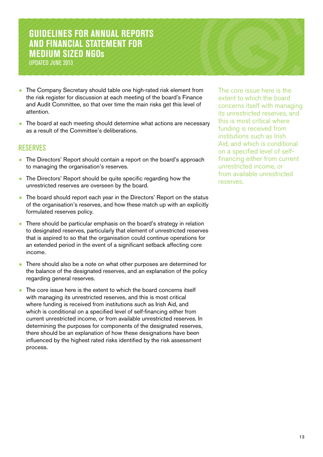UPDATED JUNE 2013

- ★ The Company Secretary should table one high-rated risk element from the risk register for discussion at each meeting of the board's Finance and Audit Committee, so that over time the main risks get this level of attention.
- $\star$  The board at each meeting should determine what actions are necessary as a result of the Committee's deliberations.

#### Reserves

- ★ The Directors' Report should contain a report on the board's approach to managing the organisation's reserves.
- ★ The Directors' Report should be quite specific regarding how the unrestricted reserves are overseen by the board.
- ★ The board should report each year in the Directors' Report on the status of the organisation's reserves, and how these match up with an explicitly formulated reserves policy.
- $\star$  There should be particular emphasis on the board's strategy in relation to designated reserves, particularly that element of unrestricted reserves that is aspired to so that the organisation could continue operations for an extended period in the event of a significant setback affecting core income.
- ★ There should also be a note on what other purposes are determined for the balance of the designated reserves, and an explanation of the policy regarding general reserves.
- ★ The core issue here is the extent to which the board concerns itself with managing its unrestricted reserves, and this is most critical where funding is received from institutions such as Irish Aid, and which is conditional on a specified level of self-financing either from current unrestricted income, or from available unrestricted reserves. In determining the purposes for components of the designated reserves, there should be an explanation of how these designations have been influenced by the highest rated risks identified by the risk assessment process.

The core issue here is the extent to which the board concerns itself with managing its unrestricted reserves, and this is most critical where funding is received from institutions such as Irish Aid, and which is conditional on a specified level of selffinancing either from current unrestricted income, or from available unrestricted reserves.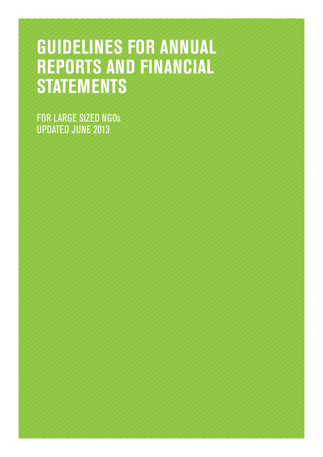## **AND FINES FOR GUIDELINES FOR ANNUAL REPORTS AND FINANCIAL Statements**

For Large Sized NGOs Updated June 2013

 $\mathcal{L}_{\mathcal{A}}$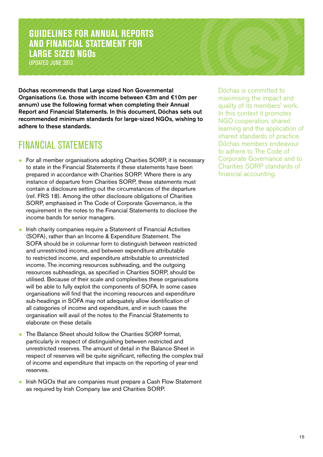UPDATED JUNE 2013

Dóchas recommends that Large sized Non Governmental Organisations (i.e. those with income between **€**3m and **€**10m per annum) use the following format when completing their Annual Report and Financial Statements. In this document, Dóchas sets out recommended minimum standards for large-sized NGOs, wishing to adhere to these standards.

## FinANcial Statements

- ★ For all member organisations adopting Charities SORP, it is necessary to state in the Financial Statements if these statements have been prepared in accordance with Charities SORP. Where there is any instance of departure from Charities SORP, these statements must contain a disclosure setting out the circumstances of the departure (ref. FRS 18). Among the other disclosure obligations of Charities SORP, emphasised in The Code of Corporate Governance, is the requirement in the notes to the Financial Statements to disclose the income bands for senior managers.
- ★ Irish charity companies require a Statement of Financial Activities (SOFA), rather than an Income & Expenditure Statement. The SOFA should be in columnar form to distinguish between restricted and unrestricted income, and between expenditure attributable to restricted income, and expenditure attributable to unrestricted income. The incoming resources subheading, and the outgoing resources subheadings, as specified in Charities SORP, should be utilised. Because of their scale and complexities these organisations will be able to fully exploit the components of SOFA. In some cases organisations will find that the incoming resources and expenditure sub-headings in SOFA may not adequately allow identification of all categories of income and expenditure, and in such cases the organisation will avail of the notes to the Financial Statements to elaborate on these details
- ★ The Balance Sheet should follow the Charities SORP format, particularly in respect of distinguishing between restricted and unrestricted reserves. The amount of detail in the Balance Sheet in respect of reserves will be quite significant, reflecting the complex trail of income and expenditure that impacts on the reporting of year-end reserves.
- ★ Irish NGOs that are companies must prepare a Cash Flow Statement as required by Irish Company law and Charities SORP.

Dóchas is committed to maximising the impact and quality of its members' work. In this context it promotes NGO cooperation, shared learning and the application of shared standards of practice. Dóchas members endeavour to adhere to The Code of Corporate Governance and to Charities SORP standards of financial accounting.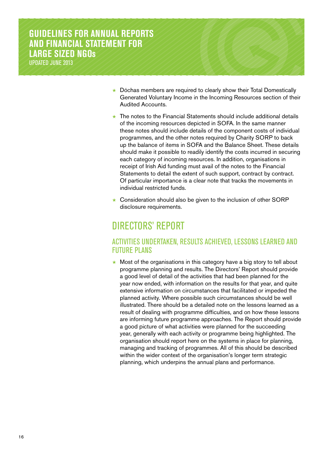UPDATED JUNE 2013

- ★ Dóchas members are required to clearly show their Total Domestically Generated Voluntary Income in the Incoming Resources section of their Audited Accounts.
- $\star$  The notes to the Financial Statements should include additional details of the incoming resources depicted in SOFA. In the same manner these notes should include details of the component costs of individual programmes, and the other notes required by Charity SORP to back up the balance of items in SOFA and the Balance Sheet. These details should make it possible to readily identify the costs incurred in securing each category of incoming resources. In addition, organisations in receipt of Irish Aid funding must avail of the notes to the Financial Statements to detail the extent of such support, contract by contract. Of particular importance is a clear note that tracks the movements in individual restricted funds.
- $\star$  Consideration should also be given to the inclusion of other SORP disclosure requirements.

## Directors' Report

#### Activities Undertaken, Results Achieved, Lessons Learned and Future Plans

★ Most of the organisations in this category have a big story to tell about programme planning and results. The Directors' Report should provide a good level of detail of the activities that had been planned for the year now ended, with information on the results for that year, and quite extensive information on circumstances that facilitated or impeded the planned activity. Where possible such circumstances should be well illustrated. There should be a detailed note on the lessons learned as a result of dealing with programme difficulties, and on how these lessons are informing future programme approaches. The Report should provide a good picture of what activities were planned for the succeeding year, generally with each activity or programme being highlighted. The organisation should report here on the systems in place for planning, managing and tracking of programmes. All of this should be described within the wider context of the organisation's longer term strategic planning, which underpins the annual plans and performance.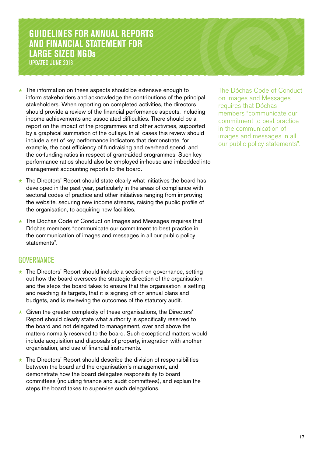UPDATED JUNE 2013

- The information on these aspects should be extensive enough to inform stakeholders and acknowledge the contributions of the principal stakeholders. When reporting on completed activities, the directors should provide a review of the financial performance aspects, including income achievements and associated difficulties. There should be a report on the impact of the programmes and other activities, supported by a graphical summation of the outlays. In all cases this review should include a set of key performance indicators that demonstrate, for example, the cost efficiency of fundraising and overhead spend, and the co-funding ratios in respect of grant-aided programmes. Such key performance ratios should also be employed in-house and imbedded into management accounting reports to the board.
- ★ The Directors' Report should state clearly what initiatives the board has developed in the past year, particularly in the areas of compliance with sectoral codes of practice and other initiatives ranging from improving the website, securing new income streams, raising the public profile of the organisation, to acquiring new facilities.
- ★ The Dóchas Code of Conduct on Images and Messages requires that Dóchas members "communicate our commitment to best practice in the communication of images and messages in all our public policy statements".

#### **GOVERNANCE**

- ★ The Directors' Report should include a section on governance, setting out how the board oversees the strategic direction of the organisation, and the steps the board takes to ensure that the organisation is setting and reaching its targets, that it is signing off on annual plans and budgets, and is reviewing the outcomes of the statutory audit.
- Given the greater complexity of these organisations, the Directors' Report should clearly state what authority is specifically reserved to the board and not delegated to management, over and above the matters normally reserved to the board. Such exceptional matters would include acquisition and disposals of property, integration with another organisation, and use of financial instruments.
- ★ The Directors' Report should describe the division of responsibilities between the board and the organisation's management, and demonstrate how the board delegates responsibility to board committees (including finance and audit committees), and explain the steps the board takes to supervise such delegations.

The Dóchas Code of Conduct on Images and Messages requires that Dóchas members "communicate our commitment to best practice in the communication of images and messages in all our public policy statements".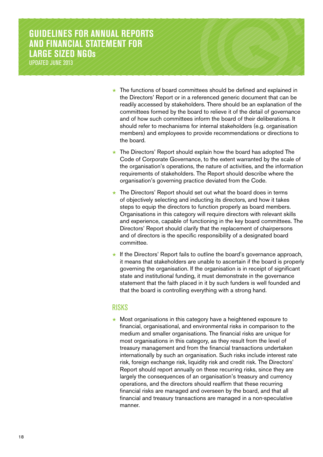UPDATED JUNE 2013

- ★ The functions of board committees should be defined and explained in the Directors' Report or in a referenced generic document that can be readily accessed by stakeholders. There should be an explanation of the committees formed by the board to relieve it of the detail of governance and of how such committees inform the board of their deliberations. It should refer to mechanisms for internal stakeholders (e.g. organisation members) and employees to provide recommendations or directions to the board.
- ★ The Directors' Report should explain how the board has adopted The Code of Corporate Governance, to the extent warranted by the scale of the organisation's operations, the nature of activities, and the information requirements of stakeholders. The Report should describe where the organisation's governing practice deviated from the Code.
- ★ The Directors' Report should set out what the board does in terms of objectively selecting and inducting its directors, and how it takes steps to equip the directors to function properly as board members. Organisations in this category will require directors with relevant skills and experience, capable of functioning in the key board committees. The Directors' Report should clarify that the replacement of chairpersons and of directors is the specific responsibility of a designated board committee.
- ★ If the Directors' Report fails to outline the board's governance approach, it means that stakeholders are unable to ascertain if the board is properly governing the organisation. If the organisation is in receipt of significant state and institutional funding, it must demonstrate in the governance statement that the faith placed in it by such funders is well founded and that the board is controlling everything with a strong hand.

#### Risks

★ Most organisations in this category have a heightened exposure to financial, organisational, and environmental risks in comparison to the medium and smaller organisations. The financial risks are unique for most organisations in this category, as they result from the level of treasury management and from the financial transactions undertaken internationally by such an organisation. Such risks include interest rate risk, foreign exchange risk, liquidity risk and credit risk. The Directors' Report should report annually on these recurring risks, since they are largely the consequences of an organisation's treasury and currency operations, and the directors should reaffirm that these recurring financial risks are managed and overseen by the board, and that all financial and treasury transactions are managed in a non-speculative manner.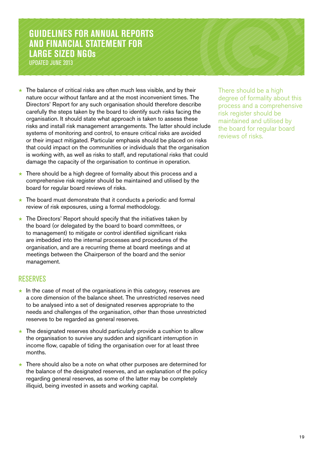UPDATED JUNE 2013

- The balance of critical risks are often much less visible, and by their nature occur without fanfare and at the most inconvenient times. The Directors' Report for any such organisation should therefore describe carefully the steps taken by the board to identify such risks facing the organisation. It should state what approach is taken to assess these risks and install risk management arrangements. The latter should include systems of monitoring and control, to ensure critical risks are avoided or their impact mitigated. Particular emphasis should be placed on risks that could impact on the communities or individuals that the organisation is working with, as well as risks to staff, and reputational risks that could damage the capacity of the organisation to continue in operation.
- $\star$  There should be a high degree of formality about this process and a comprehensive risk register should be maintained and utilised by the board for regular board reviews of risks.
- ★ The board must demonstrate that it conducts a periodic and formal review of risk exposures, using a formal methodology.
- $\star$  The Directors' Report should specify that the initiatives taken by the board (or delegated by the board to board committees, or to management) to mitigate or control identified significant risks are imbedded into the internal processes and procedures of the organisation, and are a recurring theme at board meetings and at meetings between the Chairperson of the board and the senior management.

#### Reserves

- $\star$  In the case of most of the organisations in this category, reserves are a core dimension of the balance sheet. The unrestricted reserves need to be analysed into a set of designated reserves appropriate to the needs and challenges of the organisation, other than those unrestricted reserves to be regarded as general reserves.
- ★ The designated reserves should particularly provide a cushion to allow the organisation to survive any sudden and significant interruption in income flow, capable of tiding the organisation over for at least three months.
- ★ There should also be a note on what other purposes are determined for the balance of the designated reserves, and an explanation of the policy regarding general reserves, as some of the latter may be completely illiquid, being invested in assets and working capital.

There should be a high degree of formality about this process and a comprehensive risk register should be maintained and utilised by the board for regular board reviews of risks.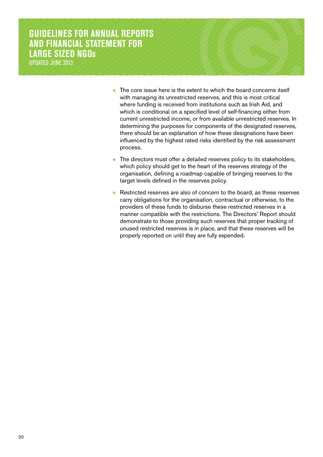UPDATED JUNE 2013

- $\star$  The core issue here is the extent to which the board concerns itself with managing its unrestricted reserves, and this is most critical where funding is received from institutions such as Irish Aid, and which is conditional on a specified level of self-financing either from current unrestricted income, or from available unrestricted reserves. In determining the purposes for components of the designated reserves, there should be an explanation of how these designations have been influenced by the highest rated risks identified by the risk assessment process.
- ★ The directors must offer a detailed reserves policy to its stakeholders, which policy should get to the heart of the reserves strategy of the organisation, defining a roadmap capable of bringing reserves to the target levels defined in the reserves policy.
- ★ Restricted reserves are also of concern to the board, as these reserves carry obligations for the organisation, contractual or otherwise, to the providers of these funds to disburse these restricted reserves in a manner compatible with the restrictions. The Directors' Report should demonstrate to those providing such reserves that proper tracking of unused restricted reserves is in place, and that these reserves will be properly reported on until they are fully expended.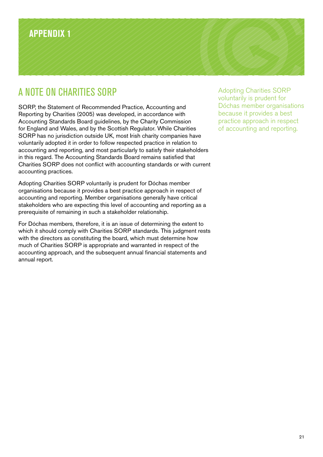## **appendix 1**

## A Note on Charities SORP

SORP, the Statement of Recommended Practice, Accounting and Reporting by Charities (2005) was developed, in accordance with Accounting Standards Board guidelines, by the Charity Commission for England and Wales, and by the Scottish Regulator. While Charities SORP has no jurisdiction outside UK, most Irish charity companies have voluntarily adopted it in order to follow respected practice in relation to accounting and reporting, and most particularly to satisfy their stakeholders in this regard. The Accounting Standards Board remains satisfied that Charities SORP does not conflict with accounting standards or with current accounting practices.

Adopting Charities SORP voluntarily is prudent for Dóchas member organisations because it provides a best practice approach in respect of accounting and reporting. Member organisations generally have critical stakeholders who are expecting this level of accounting and reporting as a prerequisite of remaining in such a stakeholder relationship.

For Dóchas members, therefore, it is an issue of determining the extent to which it should comply with Charities SORP standards. This judgment rests with the directors as constituting the board, which must determine how much of Charities SORP is appropriate and warranted in respect of the accounting approach, and the subsequent annual financial statements and annual report.

Adopting Charities SORP voluntarily is prudent for Dóchas member organisations because it provides a best practice approach in respect of accounting and reporting.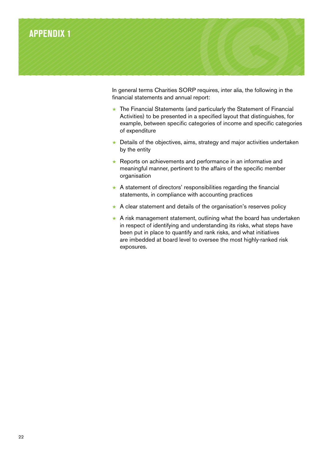

In general terms Charities SORP requires, inter alia, the following in the financial statements and annual report:

- ★ The Financial Statements (and particularly the Statement of Financial Activities) to be presented in a specified layout that distinguishes, for example, between specific categories of income and specific categories of expenditure
- $\star$  Details of the objectives, aims, strategy and major activities undertaken by the entity
- ★ Reports on achievements and performance in an informative and meaningful manner, pertinent to the affairs of the specific member organisation
- $\star$  A statement of directors' responsibilities regarding the financial statements, in compliance with accounting practices
- ★ A clear statement and details of the organisation's reserves policy
- $\star$  A risk management statement, outlining what the board has undertaken in respect of identifying and understanding its risks, what steps have been put in place to quantify and rank risks, and what initiatives are imbedded at board level to oversee the most highly-ranked risk exposures.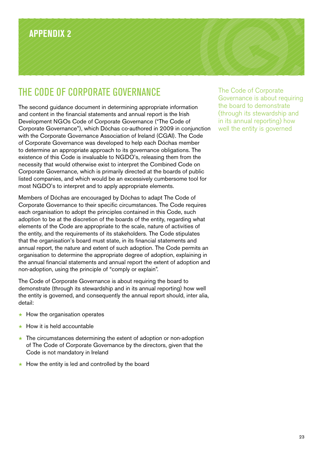## **Appendix 2**

## The Code of Corporate Governance

The second guidance document in determining appropriate information and content in the financial statements and annual report is the Irish Development NGOs Code of Corporate Governance ("The Code of Corporate Governance"), which Dóchas co-authored in 2009 in conjunction with the Corporate Governance Association of Ireland (CGAI). The Code of Corporate Governance was developed to help each Dóchas member to determine an appropriate approach to its governance obligations. The existence of this Code is invaluable to NGDO's, releasing them from the necessity that would otherwise exist to interpret the Combined Code on Corporate Governance, which is primarily directed at the boards of public listed companies, and which would be an excessively cumbersome tool for most NGDO's to interpret and to apply appropriate elements.

Members of Dóchas are encouraged by Dóchas to adapt The Code of Corporate Governance to their specific circumstances. The Code requires each organisation to adopt the principles contained in this Code, such adoption to be at the discretion of the boards of the entity, regarding what elements of the Code are appropriate to the scale, nature of activities of the entity, and the requirements of its stakeholders. The Code stipulates that the organisation's board must state, in its financial statements and annual report, the nature and extent of such adoption. The Code permits an organisation to determine the appropriate degree of adoption, explaining in the annual financial statements and annual report the extent of adoption and non-adoption, using the principle of "comply or explain".

The Code of Corporate Governance is about requiring the board to demonstrate (through its stewardship and in its annual reporting) how well the entity is governed, and consequently the annual report should, inter alia, detail:

- ★ How the organisation operates
- How it is held accountable
- ★ The circumstances determining the extent of adoption or non-adoption of The Code of Corporate Governance by the directors, given that the Code is not mandatory in Ireland
- ★ How the entity is led and controlled by the board

The Code of Corporate Governance is about requiring the board to demonstrate (through its stewardship and in its annual reporting) how well the entity is governed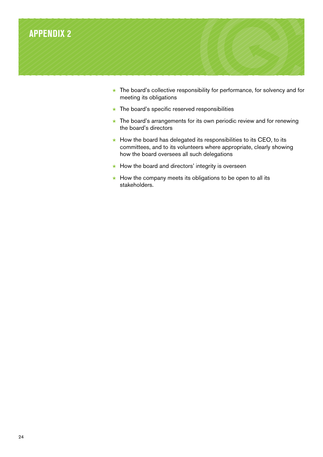

- ★ The board's collective responsibility for performance, for solvency and for meeting its obligations
- ★ The board's specific reserved responsibilities
- ★ The board's arrangements for its own periodic review and for renewing the board's directors
- ★ How the board has delegated its responsibilities to its CEO, to its committees, and to its volunteers where appropriate, clearly showing how the board oversees all such delegations
- ★ How the board and directors' integrity is overseen
- ★ How the company meets its obligations to be open to all its stakeholders.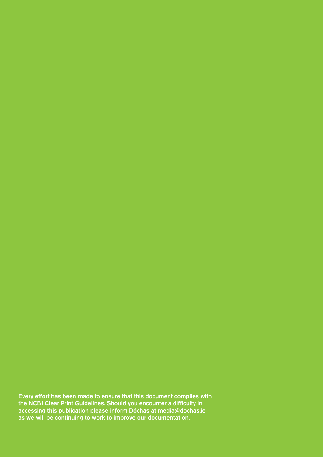Every effort has been made to ensure that this document complies with the NCBI Clear Print Guidelines. Should you encounter a difficulty in accessing this publication please inform Dóchas at media@dochas.ie as we will be continuing to work to improve our documentation.